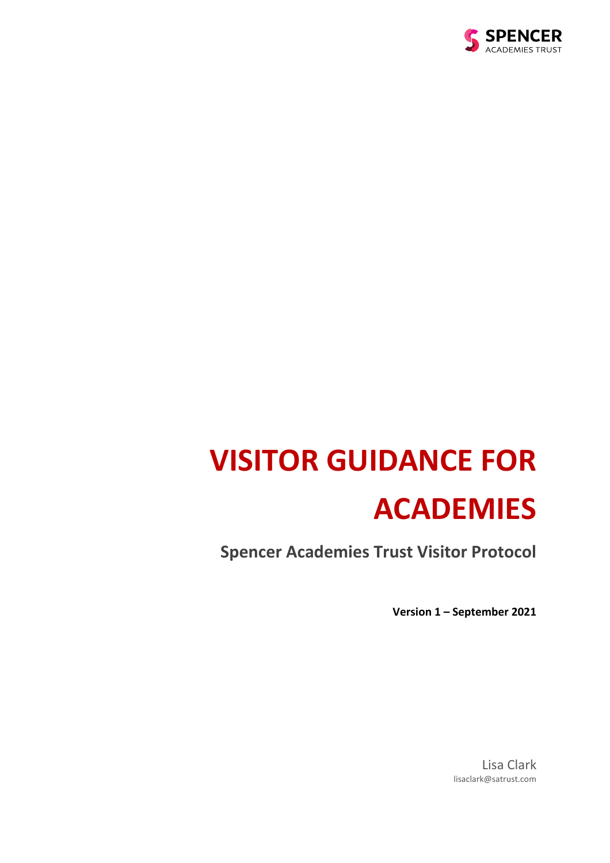

# **VISITOR GUIDANCE FOR ACADEMIES**

**Spencer Academies Trust Visitor Protocol**

**Version 1 – September 2021**

Lisa Clark lisaclark@satrust.com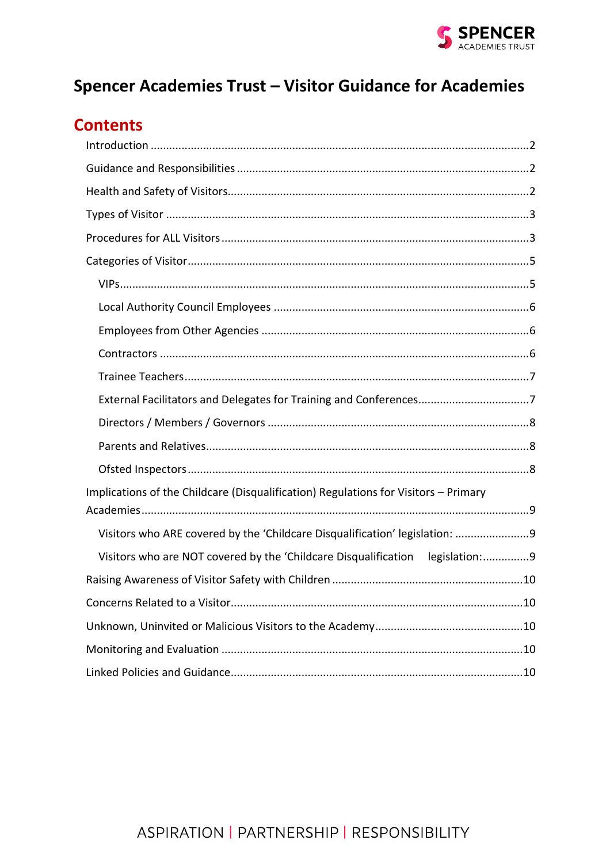

## Spencer Academies Trust - Visitor Guidance for Academies

## **Contents**

| Implications of the Childcare (Disqualification) Regulations for Visitors - Primary |
|-------------------------------------------------------------------------------------|
|                                                                                     |
| Visitors who are NOT covered by the 'Childcare Disqualification legislation:9       |
|                                                                                     |
|                                                                                     |
|                                                                                     |
|                                                                                     |
|                                                                                     |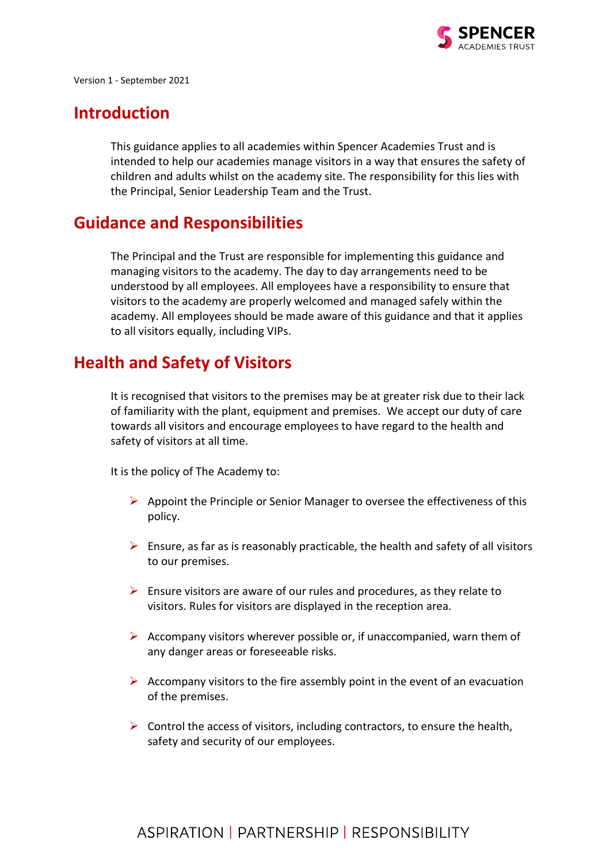

Version 1 - September 2021

## <span id="page-2-0"></span>**Introduction**

This guidance applies to all academies within Spencer Academies Trust and is intended to help our academies manage visitors in a way that ensures the safety of children and adults whilst on the academy site. The responsibility for this lies with the Principal, Senior Leadership Team and the Trust.

## <span id="page-2-1"></span>**Guidance and Responsibilities**

The Principal and the Trust are responsible for implementing this guidance and managing visitors to the academy. The day to day arrangements need to be understood by all employees. All employees have a responsibility to ensure that visitors to the academy are properly welcomed and managed safely within the academy. All employees should be made aware of this guidance and that it applies to all visitors equally, including VIPs.

## <span id="page-2-2"></span>**Health and Safety of Visitors**

It is recognised that visitors to the premises may be at greater risk due to their lack of familiarity with the plant, equipment and premises. We accept our duty of care towards all visitors and encourage employees to have regard to the health and safety of visitors at all time.

It is the policy of The Academy to:

- $\triangleright$  Appoint the Principle or Senior Manager to oversee the effectiveness of this policy.
- $\triangleright$  Ensure, as far as is reasonably practicable, the health and safety of all visitors to our premises.
- $\triangleright$  Ensure visitors are aware of our rules and procedures, as they relate to visitors. Rules for visitors are displayed in the reception area.
- $\triangleright$  Accompany visitors wherever possible or, if unaccompanied, warn them of any danger areas or foreseeable risks.
- $\triangleright$  Accompany visitors to the fire assembly point in the event of an evacuation of the premises.
- $\triangleright$  Control the access of visitors, including contractors, to ensure the health, safety and security of our employees.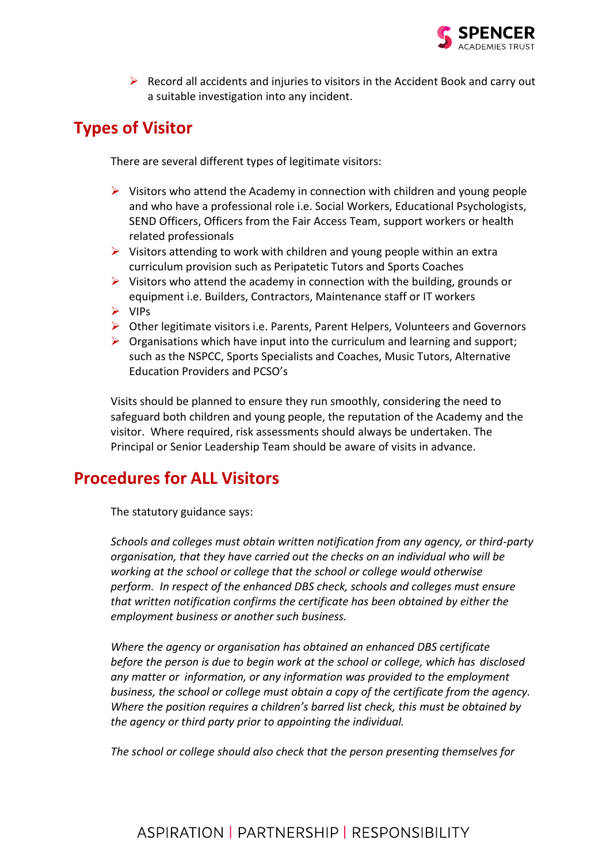

 $\triangleright$  Record all accidents and injuries to visitors in the Accident Book and carry out a suitable investigation into any incident.

## <span id="page-3-0"></span>**Types of Visitor**

There are several different types of legitimate visitors:

- $\triangleright$  Visitors who attend the Academy in connection with children and young people and who have a professional role i.e. Social Workers, Educational Psychologists, SEND Officers, Officers from the Fair Access Team, support workers or health related professionals
- ➢ Visitors attending to work with children and young people within an extra curriculum provision such as Peripatetic Tutors and Sports Coaches
- $\triangleright$  Visitors who attend the academy in connection with the building, grounds or equipment i.e. Builders, Contractors, Maintenance staff or IT workers
- ➢ VIPs
- $\triangleright$  Other legitimate visitors i.e. Parents, Parent Helpers, Volunteers and Governors
- $\triangleright$  Organisations which have input into the curriculum and learning and support; such as the NSPCC, Sports Specialists and Coaches, Music Tutors, Alternative Education Providers and PCSO's

Visits should be planned to ensure they run smoothly, considering the need to safeguard both children and young people, the reputation of the Academy and the visitor. Where required, risk assessments should always be undertaken. The Principal or Senior Leadership Team should be aware of visits in advance.

## <span id="page-3-1"></span>**Procedures for ALL Visitors**

The statutory guidance says:

*Schools and colleges must obtain written notification from any agency, or third-party organisation, that they have carried out the checks on an individual who will be working at the school or college that the school or college would otherwise perform. In respect of the enhanced DBS check, schools and colleges must ensure that written notification confirms the certificate has been obtained by either the employment business or another such business.* 

*Where the agency or organisation has obtained an enhanced DBS certificate before the person is due to begin work at the school or college, which has disclosed any matter or information, or any information was provided to the employment business, the school or college must obtain a copy of the certificate from the agency. Where the position requires a children's barred list check, this must be obtained by the agency or third party prior to appointing the individual.*

*The school or college should also check that the person presenting themselves for*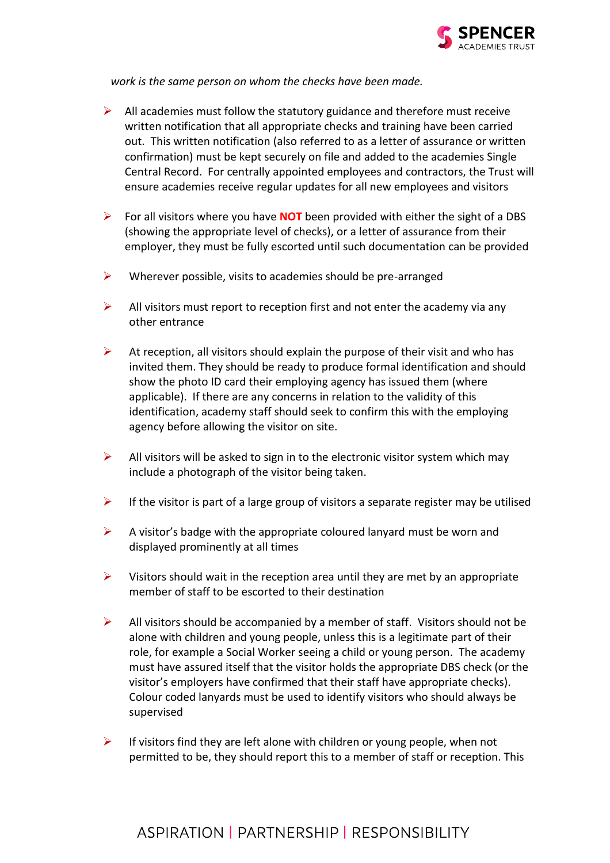

*work is the same person on whom the checks have been made.*

- $\triangleright$  All academies must follow the statutory guidance and therefore must receive written notification that all appropriate checks and training have been carried out. This written notification (also referred to as a letter of assurance or written confirmation) must be kept securely on file and added to the academies Single Central Record. For centrally appointed employees and contractors, the Trust will ensure academies receive regular updates for all new employees and visitors
- ➢ For all visitors where you have **NOT** been provided with either the sight of a DBS (showing the appropriate level of checks), or a letter of assurance from their employer, they must be fully escorted until such documentation can be provided
- $\triangleright$  Wherever possible, visits to academies should be pre-arranged
- $\triangleright$  All visitors must report to reception first and not enter the academy via any other entrance
- $\triangleright$  At reception, all visitors should explain the purpose of their visit and who has invited them. They should be ready to produce formal identification and should show the photo ID card their employing agency has issued them (where applicable). If there are any concerns in relation to the validity of this identification, academy staff should seek to confirm this with the employing agency before allowing the visitor on site.
- $\triangleright$  All visitors will be asked to sign in to the electronic visitor system which may include a photograph of the visitor being taken.
- $\triangleright$  If the visitor is part of a large group of visitors a separate register may be utilised
- $\triangleright$  A visitor's badge with the appropriate coloured lanyard must be worn and displayed prominently at all times
- $\triangleright$  Visitors should wait in the reception area until they are met by an appropriate member of staff to be escorted to their destination
- $\triangleright$  All visitors should be accompanied by a member of staff. Visitors should not be alone with children and young people, unless this is a legitimate part of their role, for example a Social Worker seeing a child or young person. The academy must have assured itself that the visitor holds the appropriate DBS check (or the visitor's employers have confirmed that their staff have appropriate checks). Colour coded lanyards must be used to identify visitors who should always be supervised
- $\triangleright$  If visitors find they are left alone with children or young people, when not permitted to be, they should report this to a member of staff or reception. This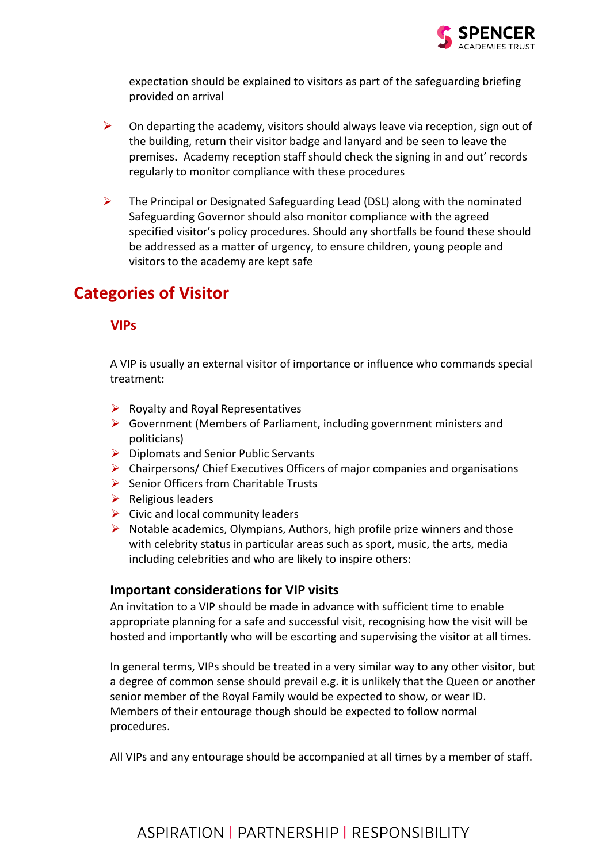

expectation should be explained to visitors as part of the safeguarding briefing provided on arrival

- $\triangleright$  On departing the academy, visitors should always leave via reception, sign out of the building, return their visitor badge and lanyard and be seen to leave the premises**.** Academy reception staff should check the signing in and out' records regularly to monitor compliance with these procedures
- ➢ The Principal or Designated Safeguarding Lead (DSL) along with the nominated Safeguarding Governor should also monitor compliance with the agreed specified visitor's policy procedures. Should any shortfalls be found these should be addressed as a matter of urgency, to ensure children, young people and visitors to the academy are kept safe

## <span id="page-5-0"></span>**Categories of Visitor**

#### <span id="page-5-1"></span>**VIPs**

A VIP is usually an external visitor of importance or influence who commands special treatment:

- $\triangleright$  Royalty and Royal Representatives
- ➢ Government (Members of Parliament, including government ministers and politicians)
- ➢ Diplomats and Senior Public Servants
- $\triangleright$  Chairpersons/ Chief Executives Officers of major companies and organisations
- ➢ Senior Officers from Charitable Trusts
- $\triangleright$  Religious leaders
- $\triangleright$  Civic and local community leaders
- $\triangleright$  Notable academics, Olympians, Authors, high profile prize winners and those with celebrity status in particular areas such as sport, music, the arts, media including celebrities and who are likely to inspire others:

#### **Important considerations for VIP visits**

An invitation to a VIP should be made in advance with sufficient time to enable appropriate planning for a safe and successful visit, recognising how the visit will be hosted and importantly who will be escorting and supervising the visitor at all times.

In general terms, VIPs should be treated in a very similar way to any other visitor, but a degree of common sense should prevail e.g. it is unlikely that the Queen or another senior member of the Royal Family would be expected to show, or wear ID. Members of their entourage though should be expected to follow normal procedures.

All VIPs and any entourage should be accompanied at all times by a member of staff.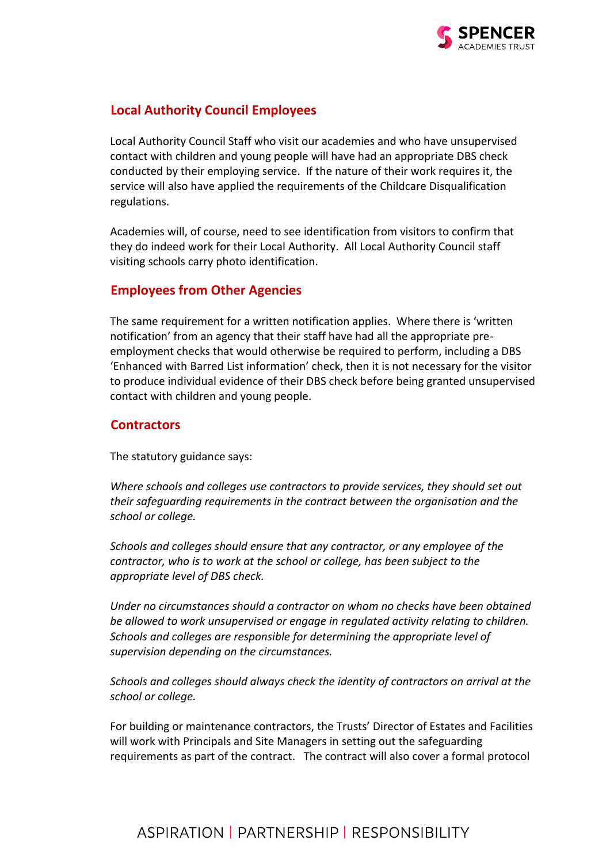

#### <span id="page-6-0"></span>**Local Authority Council Employees**

Local Authority Council Staff who visit our academies and who have unsupervised contact with children and young people will have had an appropriate DBS check conducted by their employing service. If the nature of their work requires it, the service will also have applied the requirements of the Childcare Disqualification regulations.

Academies will, of course, need to see identification from visitors to confirm that they do indeed work for their Local Authority. All Local Authority Council staff visiting schools carry photo identification.

#### <span id="page-6-1"></span>**Employees from Other Agencies**

The same requirement for a written notification applies. Where there is 'written notification' from an agency that their staff have had all the appropriate preemployment checks that would otherwise be required to perform, including a DBS 'Enhanced with Barred List information' check, then it is not necessary for the visitor to produce individual evidence of their DBS check before being granted unsupervised contact with children and young people.

#### <span id="page-6-2"></span>**Contractors**

The statutory guidance says:

*Where schools and colleges use contractors to provide services, they should set out their safeguarding requirements in the contract between the organisation and the school or college.* 

*Schools and colleges should ensure that any contractor, or any employee of the contractor, who is to work at the school or college, has been subject to the appropriate level of DBS check.*

*Under no circumstances should a contractor on whom no checks have been obtained be allowed to work unsupervised or engage in regulated activity relating to children. Schools and colleges are responsible for determining the appropriate level of supervision depending on the circumstances.* 

*Schools and colleges should always check the identity of contractors on arrival at the school or college.*

For building or maintenance contractors, the Trusts' Director of Estates and Facilities will work with Principals and Site Managers in setting out the safeguarding requirements as part of the contract. The contract will also cover a formal protocol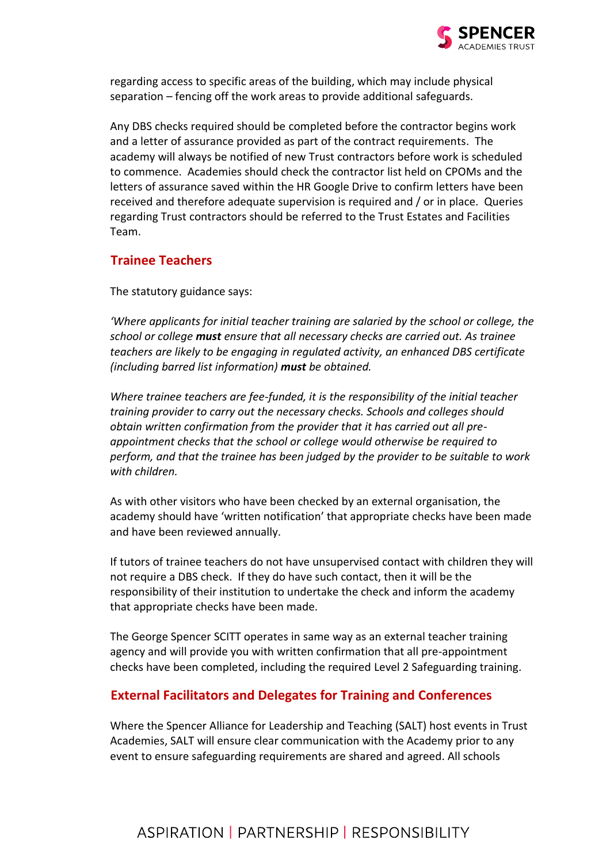

regarding access to specific areas of the building, which may include physical separation – fencing off the work areas to provide additional safeguards.

Any DBS checks required should be completed before the contractor begins work and a letter of assurance provided as part of the contract requirements. The academy will always be notified of new Trust contractors before work is scheduled to commence. Academies should check the contractor list held on CPOMs and the letters of assurance saved within the HR Google Drive to confirm letters have been received and therefore adequate supervision is required and / or in place. Queries regarding Trust contractors should be referred to the Trust Estates and Facilities Team.

#### <span id="page-7-0"></span>**Trainee Teachers**

The statutory guidance says:

*'Where applicants for initial teacher training are salaried by the school or college, the school or college must ensure that all necessary checks are carried out. As trainee teachers are likely to be engaging in regulated activity, an enhanced DBS certificate (including barred list information) must be obtained.*

*Where trainee teachers are fee-funded, it is the responsibility of the initial teacher training provider to carry out the necessary checks. Schools and colleges should obtain written confirmation from the provider that it has carried out all preappointment checks that the school or college would otherwise be required to perform, and that the trainee has been judged by the provider to be suitable to work with children.* 

As with other visitors who have been checked by an external organisation, the academy should have 'written notification' that appropriate checks have been made and have been reviewed annually.

If tutors of trainee teachers do not have unsupervised contact with children they will not require a DBS check. If they do have such contact, then it will be the responsibility of their institution to undertake the check and inform the academy that appropriate checks have been made.

The George Spencer SCITT operates in same way as an external teacher training agency and will provide you with written confirmation that all pre-appointment checks have been completed, including the required Level 2 Safeguarding training.

#### <span id="page-7-1"></span>**External Facilitators and Delegates for Training and Conferences**

Where the Spencer Alliance for Leadership and Teaching (SALT) host events in Trust Academies, SALT will ensure clear communication with the Academy prior to any event to ensure safeguarding requirements are shared and agreed. All schools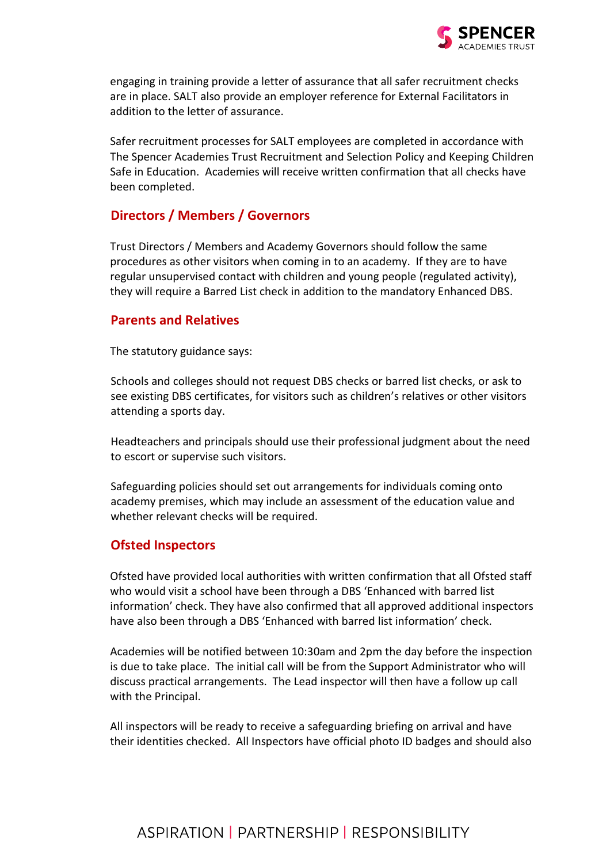

engaging in training provide a letter of assurance that all safer recruitment checks are in place. SALT also provide an employer reference for External Facilitators in addition to the letter of assurance.

Safer recruitment processes for SALT employees are completed in accordance with The Spencer Academies Trust Recruitment and Selection Policy and Keeping Children Safe in Education. Academies will receive written confirmation that all checks have been completed.

#### <span id="page-8-0"></span>**Directors / Members / Governors**

Trust Directors / Members and Academy Governors should follow the same procedures as other visitors when coming in to an academy. If they are to have regular unsupervised contact with children and young people (regulated activity), they will require a Barred List check in addition to the mandatory Enhanced DBS.

#### <span id="page-8-1"></span>**Parents and Relatives**

The statutory guidance says:

Schools and colleges should not request DBS checks or barred list checks, or ask to see existing DBS certificates, for visitors such as children's relatives or other visitors attending a sports day.

Headteachers and principals should use their professional judgment about the need to escort or supervise such visitors.

Safeguarding policies should set out arrangements for individuals coming onto academy premises, which may include an assessment of the education value and whether relevant checks will be required.

#### <span id="page-8-2"></span>**Ofsted Inspectors**

Ofsted have provided local authorities with written confirmation that all Ofsted staff who would visit a school have been through a DBS 'Enhanced with barred list information' check. They have also confirmed that all approved additional inspectors have also been through a DBS 'Enhanced with barred list information' check.

Academies will be notified between 10:30am and 2pm the day before the inspection is due to take place. The initial call will be from the Support Administrator who will discuss practical arrangements. The Lead inspector will then have a follow up call with the Principal.

All inspectors will be ready to receive a safeguarding briefing on arrival and have their identities checked. All Inspectors have official photo ID badges and should also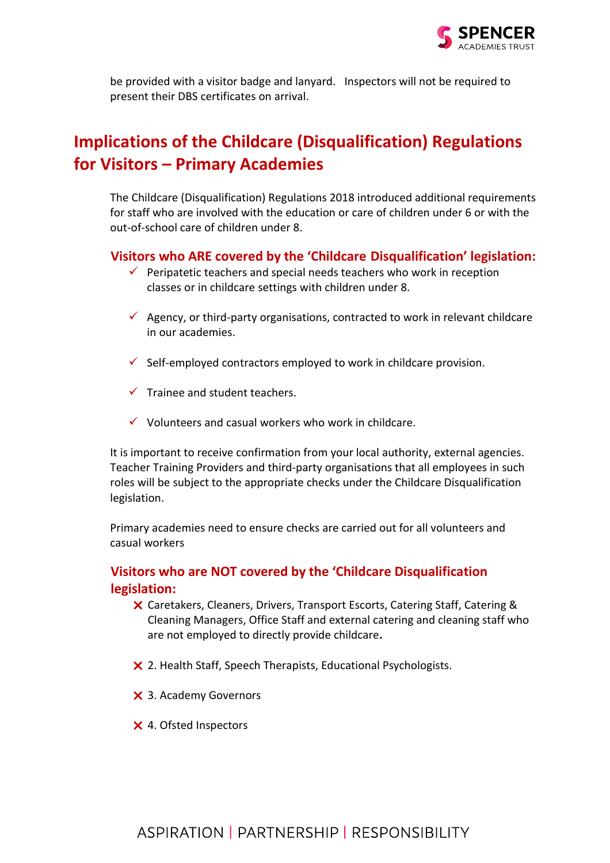

be provided with a visitor badge and lanyard. Inspectors will not be required to present their DBS certificates on arrival.

## <span id="page-9-0"></span>**Implications of the Childcare (Disqualification) Regulations for Visitors – Primary Academies**

The Childcare (Disqualification) Regulations 2018 introduced additional requirements for staff who are involved with the education or care of children under 6 or with the out-of-school care of children under 8.

#### <span id="page-9-1"></span>**Visitors who ARE covered by the 'Childcare Disqualification' legislation:**

- $\checkmark$  Peripatetic teachers and special needs teachers who work in reception classes or in childcare settings with children under 8.
- $\checkmark$  Agency, or third-party organisations, contracted to work in relevant childcare in our academies.
- $\checkmark$  Self-employed contractors employed to work in childcare provision.
- $\checkmark$  Trainee and student teachers.
- $\checkmark$  Volunteers and casual workers who work in childcare.

It is important to receive confirmation from your local authority, external agencies. Teacher Training Providers and third-party organisations that all employees in such roles will be subject to the appropriate checks under the Childcare Disqualification legislation.

Primary academies need to ensure checks are carried out for all volunteers and casual workers

#### <span id="page-9-2"></span>**Visitors who are NOT covered by the 'Childcare Disqualification legislation:**

- Caretakers, Cleaners, Drivers, Transport Escorts, Catering Staff, Catering & Cleaning Managers, Office Staff and external catering and cleaning staff who are not employed to directly provide childcare**.**
- X 2. Health Staff, Speech Therapists, Educational Psychologists.
- X 3. Academy Governors
- 4. Ofsted Inspectors